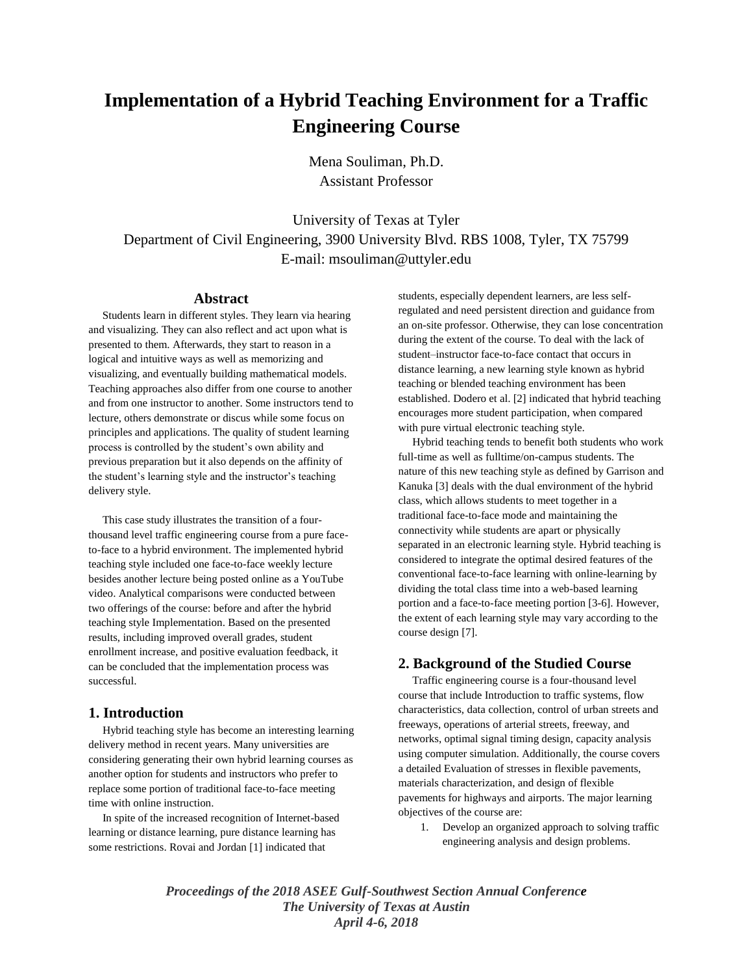# **Implementation of a Hybrid Teaching Environment for a Traffic Engineering Course**

Mena Souliman, Ph.D. Assistant Professor

University of Texas at Tyler Department of Civil Engineering, 3900 University Blvd. RBS 1008, Tyler, TX 75799 E-mail: msouliman@uttyler.edu

#### **Abstract**

 Students learn in different styles. They learn via hearing and visualizing. They can also reflect and act upon what is presented to them. Afterwards, they start to reason in a logical and intuitive ways as well as memorizing and visualizing, and eventually building mathematical models. Teaching approaches also differ from one course to another and from one instructor to another. Some instructors tend to lecture, others demonstrate or discus while some focus on principles and applications. The quality of student learning process is controlled by the student's own ability and previous preparation but it also depends on the affinity of the student's learning style and the instructor's teaching delivery style.

 This case study illustrates the transition of a fourthousand level traffic engineering course from a pure faceto-face to a hybrid environment. The implemented hybrid teaching style included one face-to-face weekly lecture besides another lecture being posted online as a YouTube video. Analytical comparisons were conducted between two offerings of the course: before and after the hybrid teaching style Implementation. Based on the presented results, including improved overall grades, student enrollment increase, and positive evaluation feedback, it can be concluded that the implementation process was successful.

### **1. Introduction**

 Hybrid teaching style has become an interesting learning delivery method in recent years. Many universities are considering generating their own hybrid learning courses as another option for students and instructors who prefer to replace some portion of traditional face-to-face meeting time with online instruction.

 In spite of the increased recognition of Internet-based learning or distance learning, pure distance learning has some restrictions. Rovai and Jordan [1] indicated that

students, especially dependent learners, are less selfregulated and need persistent direction and guidance from an on-site professor. Otherwise, they can lose concentration during the extent of the course. To deal with the lack of student–instructor face-to-face contact that occurs in distance learning, a new learning style known as hybrid teaching or blended teaching environment has been established. Dodero et al. [2] indicated that hybrid teaching encourages more student participation, when compared with pure virtual electronic teaching style.

 Hybrid teaching tends to benefit both students who work full-time as well as fulltime/on-campus students. The nature of this new teaching style as defined by Garrison and Kanuka [3] deals with the dual environment of the hybrid class, which allows students to meet together in a traditional face-to-face mode and maintaining the connectivity while students are apart or physically separated in an electronic learning style. Hybrid teaching is considered to integrate the optimal desired features of the conventional face-to-face learning with online-learning by dividing the total class time into a web-based learning portion and a face-to-face meeting portion [3-6]. However, the extent of each learning style may vary according to the course design [7].

## **2. Background of the Studied Course**

 Traffic engineering course is a four-thousand level course that include Introduction to traffic systems, flow characteristics, data collection, control of urban streets and freeways, operations of arterial streets, freeway, and networks, optimal signal timing design, capacity analysis using computer simulation. Additionally, the course covers a detailed Evaluation of stresses in flexible pavements, materials characterization, and design of flexible pavements for highways and airports. The major learning objectives of the course are:

1. Develop an organized approach to solving traffic engineering analysis and design problems.

*Proceedings of the 2018 ASEE Gulf-Southwest Section Annual Conference The University of Texas at Austin April 4-6, 2018*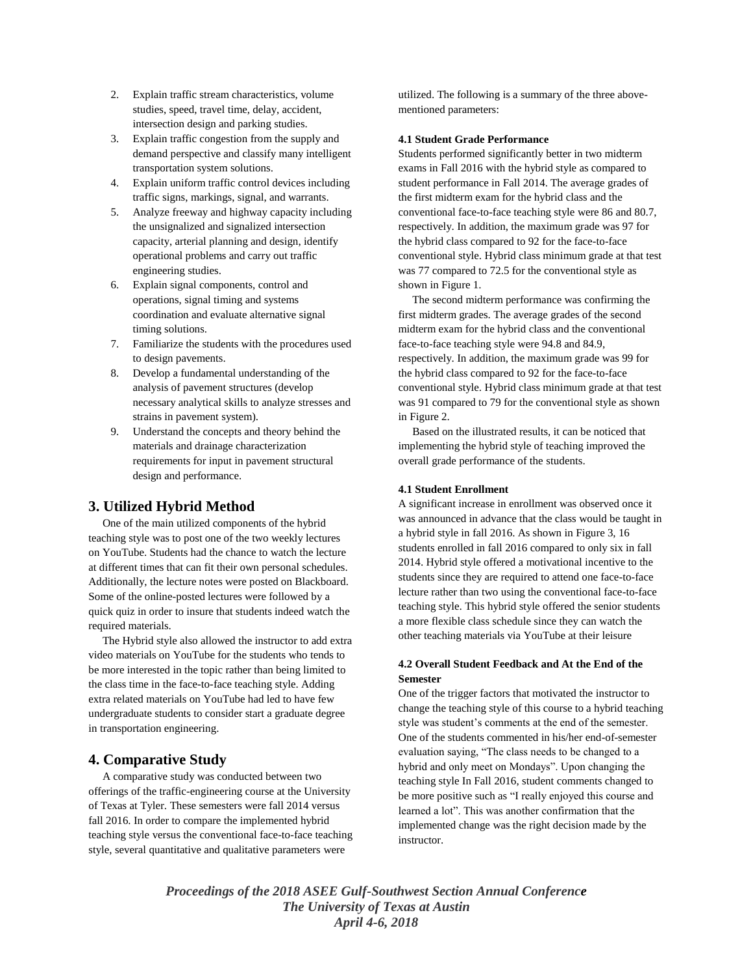- 2. Explain traffic stream characteristics, volume studies, speed, travel time, delay, accident, intersection design and parking studies.
- 3. Explain traffic congestion from the supply and demand perspective and classify many intelligent transportation system solutions.
- 4. Explain uniform traffic control devices including traffic signs, markings, signal, and warrants.
- 5. Analyze freeway and highway capacity including the unsignalized and signalized intersection capacity, arterial planning and design, identify operational problems and carry out traffic engineering studies.
- 6. Explain signal components, control and operations, signal timing and systems coordination and evaluate alternative signal timing solutions.
- 7. Familiarize the students with the procedures used to design pavements.
- 8. Develop a fundamental understanding of the analysis of pavement structures (develop necessary analytical skills to analyze stresses and strains in pavement system).
- 9. Understand the concepts and theory behind the materials and drainage characterization requirements for input in pavement structural design and performance.

## **3. Utilized Hybrid Method**

 One of the main utilized components of the hybrid teaching style was to post one of the two weekly lectures on YouTube. Students had the chance to watch the lecture at different times that can fit their own personal schedules. Additionally, the lecture notes were posted on Blackboard. Some of the online-posted lectures were followed by a quick quiz in order to insure that students indeed watch the required materials.

 The Hybrid style also allowed the instructor to add extra video materials on YouTube for the students who tends to be more interested in the topic rather than being limited to the class time in the face-to-face teaching style. Adding extra related materials on YouTube had led to have few undergraduate students to consider start a graduate degree in transportation engineering.

## **4. Comparative Study**

 A comparative study was conducted between two offerings of the traffic-engineering course at the University of Texas at Tyler. These semesters were fall 2014 versus fall 2016. In order to compare the implemented hybrid teaching style versus the conventional face-to-face teaching style, several quantitative and qualitative parameters were

utilized. The following is a summary of the three abovementioned parameters:

#### **4.1 Student Grade Performance**

Students performed significantly better in two midterm exams in Fall 2016 with the hybrid style as compared to student performance in Fall 2014. The average grades of the first midterm exam for the hybrid class and the conventional face-to-face teaching style were 86 and 80.7, respectively. In addition, the maximum grade was 97 for the hybrid class compared to 92 for the face-to-face conventional style. Hybrid class minimum grade at that test was 77 compared to 72.5 for the conventional style as shown in Figure 1.

 The second midterm performance was confirming the first midterm grades. The average grades of the second midterm exam for the hybrid class and the conventional face-to-face teaching style were 94.8 and 84.9, respectively. In addition, the maximum grade was 99 for the hybrid class compared to 92 for the face-to-face conventional style. Hybrid class minimum grade at that test was 91 compared to 79 for the conventional style as shown in Figure 2.

 Based on the illustrated results, it can be noticed that implementing the hybrid style of teaching improved the overall grade performance of the students.

#### **4.1 Student Enrollment**

A significant increase in enrollment was observed once it was announced in advance that the class would be taught in a hybrid style in fall 2016. As shown in Figure 3, 16 students enrolled in fall 2016 compared to only six in fall 2014. Hybrid style offered a motivational incentive to the students since they are required to attend one face-to-face lecture rather than two using the conventional face-to-face teaching style. This hybrid style offered the senior students a more flexible class schedule since they can watch the other teaching materials via YouTube at their leisure

#### **4.2 Overall Student Feedback and At the End of the Semester**

One of the trigger factors that motivated the instructor to change the teaching style of this course to a hybrid teaching style was student's comments at the end of the semester. One of the students commented in his/her end-of-semester evaluation saying, "The class needs to be changed to a hybrid and only meet on Mondays". Upon changing the teaching style In Fall 2016, student comments changed to be more positive such as "I really enjoyed this course and learned a lot". This was another confirmation that the implemented change was the right decision made by the instructor.

*Proceedings of the 2018 ASEE Gulf-Southwest Section Annual Conference The University of Texas at Austin April 4-6, 2018*